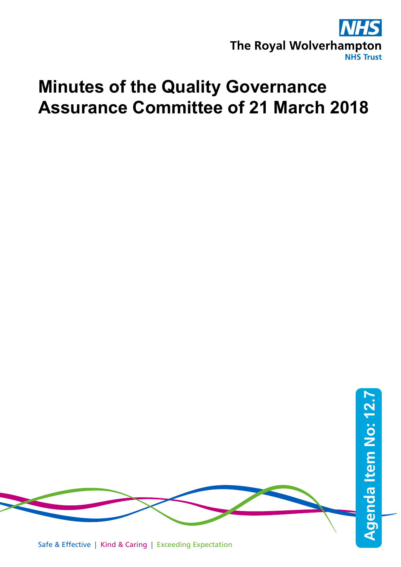

# **Minutes of the Quality Governance Assurance Committee of 21 March 2018**

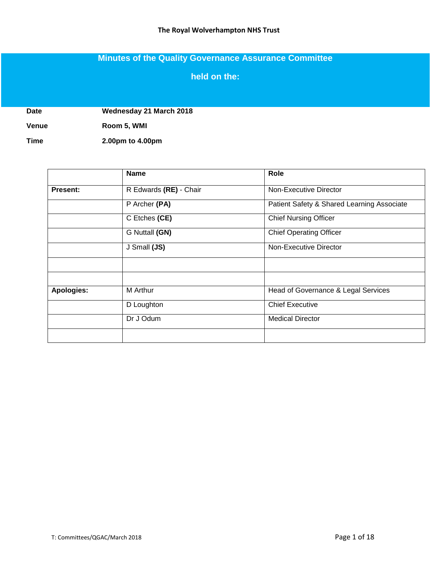## **Minutes of the Quality Governance Assurance Committee**

### **held on the:**

**Date Wednesday 21 March 2018**

**Venue Room 5, WMI**

**Time 2.00pm to 4.00pm**

|                 | <b>Name</b>            | Role                                       |
|-----------------|------------------------|--------------------------------------------|
| <b>Present:</b> | R Edwards (RE) - Chair | Non-Executive Director                     |
|                 | P Archer (PA)          | Patient Safety & Shared Learning Associate |
|                 | C Etches (CE)          | <b>Chief Nursing Officer</b>               |
|                 | G Nuttall (GN)         | <b>Chief Operating Officer</b>             |
|                 | J Small (JS)           | Non-Executive Director                     |
|                 |                        |                                            |
|                 |                        |                                            |
| Apologies:      | M Arthur               | Head of Governance & Legal Services        |
|                 | D Loughton             | <b>Chief Executive</b>                     |
|                 | Dr J Odum              | <b>Medical Director</b>                    |
|                 |                        |                                            |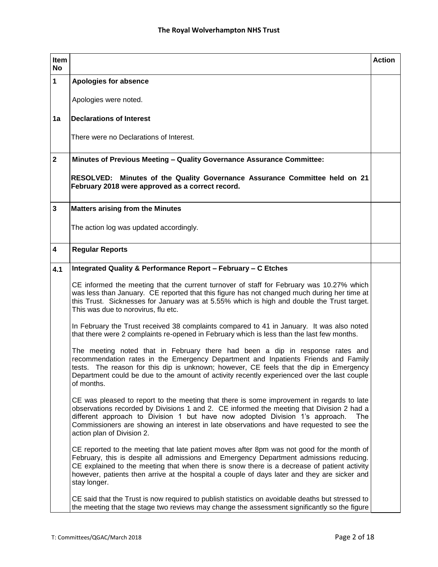| Item<br><b>No</b>       |                                                                                                                                                                                                                                                                                                                                                                                                         | <b>Action</b> |
|-------------------------|---------------------------------------------------------------------------------------------------------------------------------------------------------------------------------------------------------------------------------------------------------------------------------------------------------------------------------------------------------------------------------------------------------|---------------|
| 1                       | <b>Apologies for absence</b>                                                                                                                                                                                                                                                                                                                                                                            |               |
|                         | Apologies were noted.                                                                                                                                                                                                                                                                                                                                                                                   |               |
| 1a                      | <b>Declarations of Interest</b>                                                                                                                                                                                                                                                                                                                                                                         |               |
|                         | There were no Declarations of Interest.                                                                                                                                                                                                                                                                                                                                                                 |               |
| $\mathbf{2}$            | Minutes of Previous Meeting - Quality Governance Assurance Committee:                                                                                                                                                                                                                                                                                                                                   |               |
|                         | RESOLVED: Minutes of the Quality Governance Assurance Committee held on 21<br>February 2018 were approved as a correct record.                                                                                                                                                                                                                                                                          |               |
| $\overline{\mathbf{3}}$ | <b>Matters arising from the Minutes</b>                                                                                                                                                                                                                                                                                                                                                                 |               |
|                         | The action log was updated accordingly.                                                                                                                                                                                                                                                                                                                                                                 |               |
| 4                       | <b>Regular Reports</b>                                                                                                                                                                                                                                                                                                                                                                                  |               |
| 4.1                     | Integrated Quality & Performance Report - February - C Etches                                                                                                                                                                                                                                                                                                                                           |               |
|                         | CE informed the meeting that the current turnover of staff for February was 10.27% which<br>was less than January. CE reported that this figure has not changed much during her time at<br>this Trust. Sicknesses for January was at 5.55% which is high and double the Trust target.<br>This was due to norovirus, flu etc.                                                                            |               |
|                         | In February the Trust received 38 complaints compared to 41 in January. It was also noted<br>that there were 2 complaints re-opened in February which is less than the last few months.                                                                                                                                                                                                                 |               |
|                         | The meeting noted that in February there had been a dip in response rates and<br>recommendation rates in the Emergency Department and Inpatients Friends and Family<br>tests. The reason for this dip is unknown; however, CE feels that the dip in Emergency<br>Department could be due to the amount of activity recently experienced over the last couple<br>of months.                              |               |
|                         | CE was pleased to report to the meeting that there is some improvement in regards to late<br>observations recorded by Divisions 1 and 2. CE informed the meeting that Division 2 had a<br>different approach to Division 1 but have now adopted Division 1's approach.<br>The<br>Commissioners are showing an interest in late observations and have requested to see the<br>action plan of Division 2. |               |
|                         | CE reported to the meeting that late patient moves after 8pm was not good for the month of<br>February, this is despite all admissions and Emergency Department admissions reducing.<br>CE explained to the meeting that when there is snow there is a decrease of patient activity<br>however, patients then arrive at the hospital a couple of days later and they are sicker and<br>stay longer.     |               |
|                         | CE said that the Trust is now required to publish statistics on avoidable deaths but stressed to<br>the meeting that the stage two reviews may change the assessment significantly so the figure                                                                                                                                                                                                        |               |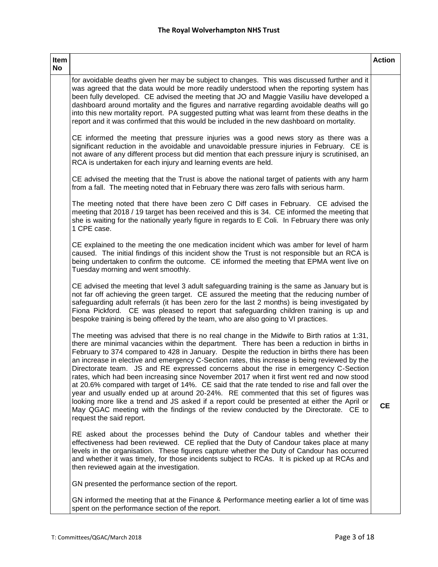| Item<br>No |                                                                                                                                                                                                                                                                                                                                                                                                                                                                                                                                                                                                                                                                                                                                                                                                                                                                                                                                                                                             | <b>Action</b> |
|------------|---------------------------------------------------------------------------------------------------------------------------------------------------------------------------------------------------------------------------------------------------------------------------------------------------------------------------------------------------------------------------------------------------------------------------------------------------------------------------------------------------------------------------------------------------------------------------------------------------------------------------------------------------------------------------------------------------------------------------------------------------------------------------------------------------------------------------------------------------------------------------------------------------------------------------------------------------------------------------------------------|---------------|
|            | for avoidable deaths given her may be subject to changes. This was discussed further and it<br>was agreed that the data would be more readily understood when the reporting system has<br>been fully developed. CE advised the meeting that JO and Maggie Vasiliu have developed a<br>dashboard around mortality and the figures and narrative regarding avoidable deaths will go<br>into this new mortality report. PA suggested putting what was learnt from these deaths in the<br>report and it was confirmed that this would be included in the new dashboard on mortality.                                                                                                                                                                                                                                                                                                                                                                                                            |               |
|            | CE informed the meeting that pressure injuries was a good news story as there was a<br>significant reduction in the avoidable and unavoidable pressure injuries in February. CE is<br>not aware of any different process but did mention that each pressure injury is scrutinised, an<br>RCA is undertaken for each injury and learning events are held.                                                                                                                                                                                                                                                                                                                                                                                                                                                                                                                                                                                                                                    |               |
|            | CE advised the meeting that the Trust is above the national target of patients with any harm<br>from a fall. The meeting noted that in February there was zero falls with serious harm.                                                                                                                                                                                                                                                                                                                                                                                                                                                                                                                                                                                                                                                                                                                                                                                                     |               |
|            | The meeting noted that there have been zero C Diff cases in February. CE advised the<br>meeting that 2018 / 19 target has been received and this is 34. CE informed the meeting that<br>she is waiting for the nationally yearly figure in regards to E Coli. In February there was only<br>1 CPE case.                                                                                                                                                                                                                                                                                                                                                                                                                                                                                                                                                                                                                                                                                     |               |
|            | CE explained to the meeting the one medication incident which was amber for level of harm<br>caused. The initial findings of this incident show the Trust is not responsible but an RCA is<br>being undertaken to confirm the outcome. CE informed the meeting that EPMA went live on<br>Tuesday morning and went smoothly.                                                                                                                                                                                                                                                                                                                                                                                                                                                                                                                                                                                                                                                                 |               |
|            | CE advised the meeting that level 3 adult safeguarding training is the same as January but is<br>not far off achieving the green target. CE assured the meeting that the reducing number of<br>safeguarding adult referrals (it has been zero for the last 2 months) is being investigated by<br>Fiona Pickford. CE was pleased to report that safeguarding children training is up and<br>bespoke training is being offered by the team, who are also going to VI practices.                                                                                                                                                                                                                                                                                                                                                                                                                                                                                                               |               |
|            | The meeting was advised that there is no real change in the Midwife to Birth ratios at 1:31,<br>there are minimal vacancies within the department. There has been a reduction in births in<br>February to 374 compared to 428 in January. Despite the reduction in births there has been<br>an increase in elective and emergency C-Section rates, this increase is being reviewed by the<br>Directorate team. JS and RE expressed concerns about the rise in emergency C-Section<br>rates, which had been increasing since November 2017 when it first went red and now stood<br>at 20.6% compared with target of 14%. CE said that the rate tended to rise and fall over the<br>year and usually ended up at around 20-24%. RE commented that this set of figures was<br>looking more like a trend and JS asked if a report could be presented at either the April or<br>May QGAC meeting with the findings of the review conducted by the Directorate. CE to<br>request the said report. | <b>CE</b>     |
|            | RE asked about the processes behind the Duty of Candour tables and whether their<br>effectiveness had been reviewed. CE replied that the Duty of Candour takes place at many<br>levels in the organisation. These figures capture whether the Duty of Candour has occurred<br>and whether it was timely, for those incidents subject to RCAs. It is picked up at RCAs and<br>then reviewed again at the investigation.                                                                                                                                                                                                                                                                                                                                                                                                                                                                                                                                                                      |               |
|            | GN presented the performance section of the report.                                                                                                                                                                                                                                                                                                                                                                                                                                                                                                                                                                                                                                                                                                                                                                                                                                                                                                                                         |               |
|            | GN informed the meeting that at the Finance & Performance meeting earlier a lot of time was<br>spent on the performance section of the report.                                                                                                                                                                                                                                                                                                                                                                                                                                                                                                                                                                                                                                                                                                                                                                                                                                              |               |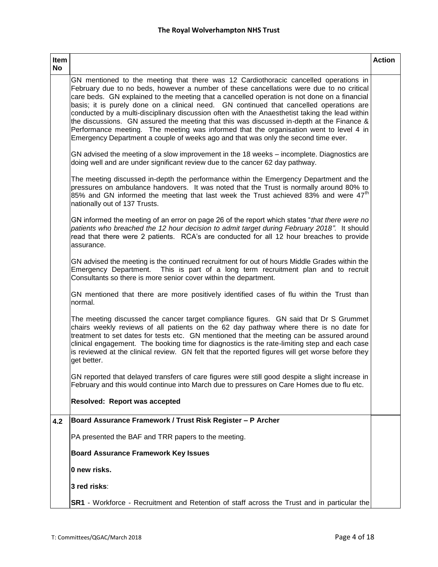| Item<br><b>No</b> |                                                                                                                                                                                                                                                                                                                                                                                                                                                                                                                                                                                                                                                                                                                                                             | <b>Action</b> |
|-------------------|-------------------------------------------------------------------------------------------------------------------------------------------------------------------------------------------------------------------------------------------------------------------------------------------------------------------------------------------------------------------------------------------------------------------------------------------------------------------------------------------------------------------------------------------------------------------------------------------------------------------------------------------------------------------------------------------------------------------------------------------------------------|---------------|
|                   | GN mentioned to the meeting that there was 12 Cardiothoracic cancelled operations in<br>February due to no beds, however a number of these cancellations were due to no critical<br>care beds. GN explained to the meeting that a cancelled operation is not done on a financial<br>basis; it is purely done on a clinical need. GN continued that cancelled operations are<br>conducted by a multi-disciplinary discussion often with the Anaesthetist taking the lead within<br>the discussions. GN assured the meeting that this was discussed in-depth at the Finance &<br>Performance meeting. The meeting was informed that the organisation went to level 4 in<br>Emergency Department a couple of weeks ago and that was only the second time ever. |               |
|                   | GN advised the meeting of a slow improvement in the 18 weeks - incomplete. Diagnostics are<br>doing well and are under significant review due to the cancer 62 day pathway.                                                                                                                                                                                                                                                                                                                                                                                                                                                                                                                                                                                 |               |
|                   | The meeting discussed in-depth the performance within the Emergency Department and the<br>pressures on ambulance handovers. It was noted that the Trust is normally around 80% to<br>85% and GN informed the meeting that last week the Trust achieved 83% and were 47 <sup>th</sup><br>nationally out of 137 Trusts.                                                                                                                                                                                                                                                                                                                                                                                                                                       |               |
|                   | GN informed the meeting of an error on page 26 of the report which states "that there were no<br>patients who breached the 12 hour decision to admit target during February 2018". It should<br>read that there were 2 patients. RCA's are conducted for all 12 hour breaches to provide<br>assurance.                                                                                                                                                                                                                                                                                                                                                                                                                                                      |               |
|                   | GN advised the meeting is the continued recruitment for out of hours Middle Grades within the<br>Emergency Department. This is part of a long term recruitment plan and to recruit<br>Consultants so there is more senior cover within the department.                                                                                                                                                                                                                                                                                                                                                                                                                                                                                                      |               |
|                   | GN mentioned that there are more positively identified cases of flu within the Trust than<br>normal.                                                                                                                                                                                                                                                                                                                                                                                                                                                                                                                                                                                                                                                        |               |
|                   | The meeting discussed the cancer target compliance figures. GN said that Dr S Grummet<br>chairs weekly reviews of all patients on the 62 day pathway where there is no date for<br>treatment to set dates for tests etc. GN mentioned that the meeting can be assured around<br>clinical engagement. The booking time for diagnostics is the rate-limiting step and each case<br>is reviewed at the clinical review. GN felt that the reported figures will get worse before they<br>get better.                                                                                                                                                                                                                                                            |               |
|                   | GN reported that delayed transfers of care figures were still good despite a slight increase in<br>February and this would continue into March due to pressures on Care Homes due to flu etc.                                                                                                                                                                                                                                                                                                                                                                                                                                                                                                                                                               |               |
|                   | Resolved: Report was accepted                                                                                                                                                                                                                                                                                                                                                                                                                                                                                                                                                                                                                                                                                                                               |               |
| 4.2               | Board Assurance Framework / Trust Risk Register - P Archer                                                                                                                                                                                                                                                                                                                                                                                                                                                                                                                                                                                                                                                                                                  |               |
|                   | PA presented the BAF and TRR papers to the meeting.                                                                                                                                                                                                                                                                                                                                                                                                                                                                                                                                                                                                                                                                                                         |               |
|                   | <b>Board Assurance Framework Key Issues</b>                                                                                                                                                                                                                                                                                                                                                                                                                                                                                                                                                                                                                                                                                                                 |               |
|                   | 0 new risks.                                                                                                                                                                                                                                                                                                                                                                                                                                                                                                                                                                                                                                                                                                                                                |               |
|                   | 3 red risks:                                                                                                                                                                                                                                                                                                                                                                                                                                                                                                                                                                                                                                                                                                                                                |               |
|                   | <b>SR1</b> - Workforce - Recruitment and Retention of staff across the Trust and in particular the                                                                                                                                                                                                                                                                                                                                                                                                                                                                                                                                                                                                                                                          |               |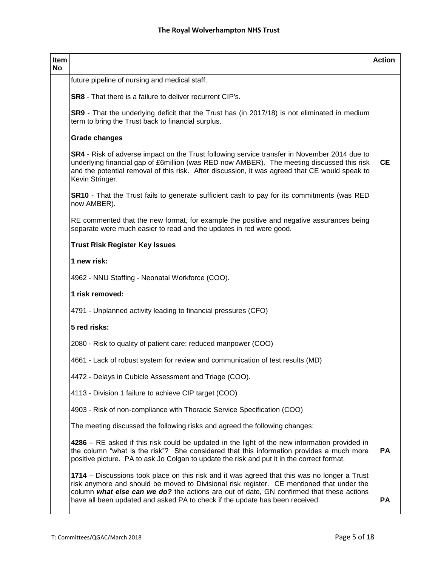| Item<br><b>No</b> |                                                                                                                                                                                                                                                                                                                                                                       | <b>Action</b> |
|-------------------|-----------------------------------------------------------------------------------------------------------------------------------------------------------------------------------------------------------------------------------------------------------------------------------------------------------------------------------------------------------------------|---------------|
|                   | future pipeline of nursing and medical staff.                                                                                                                                                                                                                                                                                                                         |               |
|                   | <b>SR8</b> - That there is a failure to deliver recurrent CIP's.                                                                                                                                                                                                                                                                                                      |               |
|                   | SR9 - That the underlying deficit that the Trust has (in 2017/18) is not eliminated in medium<br>term to bring the Trust back to financial surplus.                                                                                                                                                                                                                   |               |
|                   | <b>Grade changes</b>                                                                                                                                                                                                                                                                                                                                                  |               |
|                   | SR4 - Risk of adverse impact on the Trust following service transfer in November 2014 due to<br>underlying financial gap of £6million (was RED now AMBER). The meeting discussed this risk<br>and the potential removal of this risk. After discussion, it was agreed that CE would speak to<br>Kevin Stringer.                                                       | <b>CE</b>     |
|                   | <b>SR10</b> - That the Trust fails to generate sufficient cash to pay for its commitments (was RED<br>now AMBER).                                                                                                                                                                                                                                                     |               |
|                   | RE commented that the new format, for example the positive and negative assurances being<br>separate were much easier to read and the updates in red were good.                                                                                                                                                                                                       |               |
|                   | <b>Trust Risk Register Key Issues</b>                                                                                                                                                                                                                                                                                                                                 |               |
|                   | 1 new risk:                                                                                                                                                                                                                                                                                                                                                           |               |
|                   | 4962 - NNU Staffing - Neonatal Workforce (COO).                                                                                                                                                                                                                                                                                                                       |               |
|                   | 1 risk removed:                                                                                                                                                                                                                                                                                                                                                       |               |
|                   | 4791 - Unplanned activity leading to financial pressures (CFO)                                                                                                                                                                                                                                                                                                        |               |
|                   | 5 red risks:                                                                                                                                                                                                                                                                                                                                                          |               |
|                   | 2080 - Risk to quality of patient care: reduced manpower (COO)                                                                                                                                                                                                                                                                                                        |               |
|                   | 4661 - Lack of robust system for review and communication of test results (MD)                                                                                                                                                                                                                                                                                        |               |
|                   | 4472 - Delays in Cubicle Assessment and Triage (COO).                                                                                                                                                                                                                                                                                                                 |               |
|                   | 4113 - Division 1 failure to achieve CIP target (COO)                                                                                                                                                                                                                                                                                                                 |               |
|                   | 4903 - Risk of non-compliance with Thoracic Service Specification (COO)                                                                                                                                                                                                                                                                                               |               |
|                   | The meeting discussed the following risks and agreed the following changes:                                                                                                                                                                                                                                                                                           |               |
|                   | 4286 – RE asked if this risk could be updated in the light of the new information provided in<br>the column "what is the risk"? She considered that this information provides a much more<br>positive picture. PA to ask Jo Colgan to update the risk and put it in the correct format.                                                                               | <b>PA</b>     |
|                   | 1714 – Discussions took place on this risk and it was agreed that this was no longer a Trust<br>risk anymore and should be moved to Divisional risk register. CE mentioned that under the<br>column what else can we do? the actions are out of date, GN confirmed that these actions<br>have all been updated and asked PA to check if the update has been received. | <b>PA</b>     |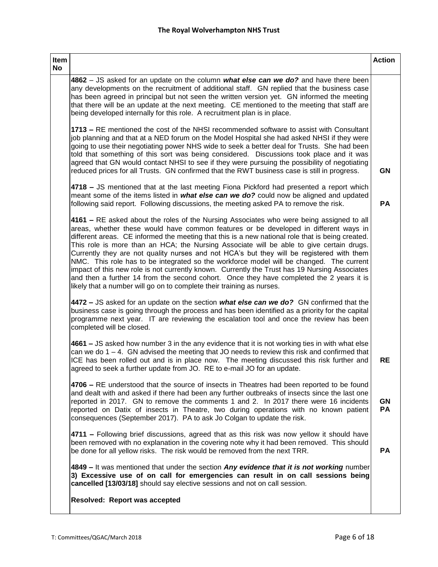| Item<br>No |                                                                                                                                                                                                                                                                                                                                                                                                                                                                                                                                                                                                                                                                                                                                                                                                                                                | <b>Action</b>   |
|------------|------------------------------------------------------------------------------------------------------------------------------------------------------------------------------------------------------------------------------------------------------------------------------------------------------------------------------------------------------------------------------------------------------------------------------------------------------------------------------------------------------------------------------------------------------------------------------------------------------------------------------------------------------------------------------------------------------------------------------------------------------------------------------------------------------------------------------------------------|-----------------|
|            | 4862 – JS asked for an update on the column what else can we do? and have there been<br>any developments on the recruitment of additional staff. GN replied that the business case<br>has been agreed in principal but not seen the written version yet. GN informed the meeting<br>that there will be an update at the next meeting. CE mentioned to the meeting that staff are<br>being developed internally for this role. A recruitment plan is in place.                                                                                                                                                                                                                                                                                                                                                                                  |                 |
|            | 1713 – RE mentioned the cost of the NHSI recommended software to assist with Consultant<br>job planning and that at a NED forum on the Model Hospital she had asked NHSI if they were<br>going to use their negotiating power NHS wide to seek a better deal for Trusts. She had been<br>told that something of this sort was being considered. Discussions took place and it was<br>agreed that GN would contact NHSI to see if they were pursuing the possibility of negotiating<br>reduced prices for all Trusts. GN confirmed that the RWT business case is still in progress.                                                                                                                                                                                                                                                             | <b>GN</b>       |
|            | 4718 - JS mentioned that at the last meeting Fiona Pickford had presented a report which<br>meant some of the items listed in what else can we do? could now be aligned and updated<br>following said report. Following discussions, the meeting asked PA to remove the risk.                                                                                                                                                                                                                                                                                                                                                                                                                                                                                                                                                                  | PA              |
|            | 4161 - RE asked about the roles of the Nursing Associates who were being assigned to all<br>areas, whether these would have common features or be developed in different ways in<br>different areas. CE informed the meeting that this is a new national role that is being created.<br>This role is more than an HCA; the Nursing Associate will be able to give certain drugs.<br>Currently they are not quality nurses and not HCA's but they will be registered with them<br>NMC. This role has to be integrated so the workforce model will be changed. The current<br>impact of this new role is not currently known. Currently the Trust has 19 Nursing Associates<br>and then a further 14 from the second cohort. Once they have completed the 2 years it is<br>likely that a number will go on to complete their training as nurses. |                 |
|            | 4472 – JS asked for an update on the section what else can we do? GN confirmed that the<br>business case is going through the process and has been identified as a priority for the capital<br>programme next year. IT are reviewing the escalation tool and once the review has been<br>completed will be closed.                                                                                                                                                                                                                                                                                                                                                                                                                                                                                                                             |                 |
|            | 4661 – JS asked how number 3 in the any evidence that it is not working ties in with what else<br>can we do $1 - 4$ . GN advised the meeting that JO needs to review this risk and confirmed that<br>ICE has been rolled out and is in place now. The meeting discussed this risk further and<br>agreed to seek a further update from JO. RE to e-mail JO for an update.                                                                                                                                                                                                                                                                                                                                                                                                                                                                       | RE              |
|            | 4706 – RE understood that the source of insects in Theatres had been reported to be found<br>and dealt with and asked if there had been any further outbreaks of insects since the last one<br>reported in 2017. GN to remove the comments 1 and 2. In 2017 there were 16 incidents<br>reported on Datix of insects in Theatre, two during operations with no known patient<br>consequences (September 2017). PA to ask Jo Colgan to update the risk.                                                                                                                                                                                                                                                                                                                                                                                          | <b>GN</b><br>PA |
|            | 4711 - Following brief discussions, agreed that as this risk was now yellow it should have<br>been removed with no explanation in the covering note why it had been removed. This should<br>be done for all yellow risks. The risk would be removed from the next TRR.                                                                                                                                                                                                                                                                                                                                                                                                                                                                                                                                                                         | <b>PA</b>       |
|            | 4849 - It was mentioned that under the section Any evidence that it is not working number<br>3) Excessive use of on call for emergencies can result in on call sessions being<br>cancelled [13/03/18] should say elective sessions and not on call session.                                                                                                                                                                                                                                                                                                                                                                                                                                                                                                                                                                                    |                 |
|            | Resolved: Report was accepted                                                                                                                                                                                                                                                                                                                                                                                                                                                                                                                                                                                                                                                                                                                                                                                                                  |                 |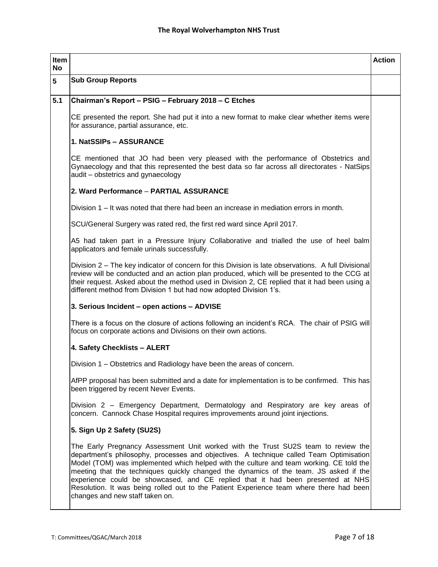| Item<br>No |                                                                                                                                                                                                                                                                                                                                                                                                                                                                                                                                                                                   | <b>Action</b> |
|------------|-----------------------------------------------------------------------------------------------------------------------------------------------------------------------------------------------------------------------------------------------------------------------------------------------------------------------------------------------------------------------------------------------------------------------------------------------------------------------------------------------------------------------------------------------------------------------------------|---------------|
| 5          | <b>Sub Group Reports</b>                                                                                                                                                                                                                                                                                                                                                                                                                                                                                                                                                          |               |
| 5.1        | Chairman's Report - PSIG - February 2018 - C Etches                                                                                                                                                                                                                                                                                                                                                                                                                                                                                                                               |               |
|            | CE presented the report. She had put it into a new format to make clear whether items were<br>for assurance, partial assurance, etc.                                                                                                                                                                                                                                                                                                                                                                                                                                              |               |
|            | 1. NatSSIPs - ASSURANCE                                                                                                                                                                                                                                                                                                                                                                                                                                                                                                                                                           |               |
|            | CE mentioned that JO had been very pleased with the performance of Obstetrics and<br>Gynaecology and that this represented the best data so far across all directorates - NatSips<br>audit - obstetrics and gynaecology                                                                                                                                                                                                                                                                                                                                                           |               |
|            | 2. Ward Performance - PARTIAL ASSURANCE                                                                                                                                                                                                                                                                                                                                                                                                                                                                                                                                           |               |
|            | Division 1 – It was noted that there had been an increase in mediation errors in month.                                                                                                                                                                                                                                                                                                                                                                                                                                                                                           |               |
|            | SCU/General Surgery was rated red, the first red ward since April 2017.                                                                                                                                                                                                                                                                                                                                                                                                                                                                                                           |               |
|            | A5 had taken part in a Pressure Injury Collaborative and trialled the use of heel balm<br>applicators and female urinals successfully.                                                                                                                                                                                                                                                                                                                                                                                                                                            |               |
|            | Division 2 – The key indicator of concern for this Division is late observations. A full Divisional<br>review will be conducted and an action plan produced, which will be presented to the CCG at<br>their request. Asked about the method used in Division 2, CE replied that it had been using a<br>different method from Division 1 but had now adopted Division 1's.                                                                                                                                                                                                         |               |
|            | 3. Serious Incident - open actions - ADVISE                                                                                                                                                                                                                                                                                                                                                                                                                                                                                                                                       |               |
|            | There is a focus on the closure of actions following an incident's RCA. The chair of PSIG will<br>focus on corporate actions and Divisions on their own actions.                                                                                                                                                                                                                                                                                                                                                                                                                  |               |
|            | 4. Safety Checklists - ALERT                                                                                                                                                                                                                                                                                                                                                                                                                                                                                                                                                      |               |
|            | Division 1 – Obstetrics and Radiology have been the areas of concern.                                                                                                                                                                                                                                                                                                                                                                                                                                                                                                             |               |
|            | AfPP proposal has been submitted and a date for implementation is to be confirmed. This has<br>been triggered by recent Never Events.                                                                                                                                                                                                                                                                                                                                                                                                                                             |               |
|            | Division 2 - Emergency Department, Dermatology and Respiratory are key areas of<br>concern. Cannock Chase Hospital requires improvements around joint injections.                                                                                                                                                                                                                                                                                                                                                                                                                 |               |
|            | 5. Sign Up 2 Safety (SU2S)                                                                                                                                                                                                                                                                                                                                                                                                                                                                                                                                                        |               |
|            | The Early Pregnancy Assessment Unit worked with the Trust SU2S team to review the<br>department's philosophy, processes and objectives. A technique called Team Optimisation<br>Model (TOM) was implemented which helped with the culture and team working. CE told the<br>meeting that the techniques quickly changed the dynamics of the team. JS asked if the<br>experience could be showcased, and CE replied that it had been presented at NHS<br>Resolution. It was being rolled out to the Patient Experience team where there had been<br>changes and new staff taken on. |               |
|            |                                                                                                                                                                                                                                                                                                                                                                                                                                                                                                                                                                                   |               |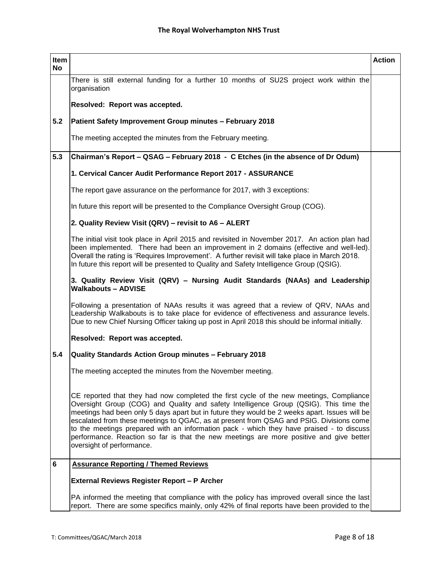| Item<br><b>No</b> |                                                                                                                                                                                                                                                                                                                                                                                                                                                                                                                                                                                                  | <b>Action</b> |
|-------------------|--------------------------------------------------------------------------------------------------------------------------------------------------------------------------------------------------------------------------------------------------------------------------------------------------------------------------------------------------------------------------------------------------------------------------------------------------------------------------------------------------------------------------------------------------------------------------------------------------|---------------|
|                   | There is still external funding for a further 10 months of SU2S project work within the<br>organisation                                                                                                                                                                                                                                                                                                                                                                                                                                                                                          |               |
|                   | Resolved: Report was accepted.                                                                                                                                                                                                                                                                                                                                                                                                                                                                                                                                                                   |               |
| 5.2               | Patient Safety Improvement Group minutes - February 2018                                                                                                                                                                                                                                                                                                                                                                                                                                                                                                                                         |               |
|                   | The meeting accepted the minutes from the February meeting.                                                                                                                                                                                                                                                                                                                                                                                                                                                                                                                                      |               |
| 5.3               | Chairman's Report – QSAG – February 2018 - C Etches (in the absence of Dr Odum)                                                                                                                                                                                                                                                                                                                                                                                                                                                                                                                  |               |
|                   | 1. Cervical Cancer Audit Performance Report 2017 - ASSURANCE                                                                                                                                                                                                                                                                                                                                                                                                                                                                                                                                     |               |
|                   | The report gave assurance on the performance for 2017, with 3 exceptions:                                                                                                                                                                                                                                                                                                                                                                                                                                                                                                                        |               |
|                   | In future this report will be presented to the Compliance Oversight Group (COG).                                                                                                                                                                                                                                                                                                                                                                                                                                                                                                                 |               |
|                   | 2. Quality Review Visit (QRV) - revisit to A6 - ALERT                                                                                                                                                                                                                                                                                                                                                                                                                                                                                                                                            |               |
|                   | The initial visit took place in April 2015 and revisited in November 2017. An action plan had<br>been implemented. There had been an improvement in 2 domains (effective and well-led).<br>Overall the rating is 'Requires Improvement'. A further revisit will take place in March 2018.<br>In future this report will be presented to Quality and Safety Intelligence Group (QSIG).                                                                                                                                                                                                            |               |
|                   | 3. Quality Review Visit (QRV) - Nursing Audit Standards (NAAs) and Leadership<br><b>Walkabouts - ADVISE</b>                                                                                                                                                                                                                                                                                                                                                                                                                                                                                      |               |
|                   | Following a presentation of NAAs results it was agreed that a review of QRV, NAAs and<br>Leadership Walkabouts is to take place for evidence of effectiveness and assurance levels.<br>Due to new Chief Nursing Officer taking up post in April 2018 this should be informal initially.                                                                                                                                                                                                                                                                                                          |               |
|                   | Resolved: Report was accepted.                                                                                                                                                                                                                                                                                                                                                                                                                                                                                                                                                                   |               |
| 5.4               | Quality Standards Action Group minutes - February 2018                                                                                                                                                                                                                                                                                                                                                                                                                                                                                                                                           |               |
|                   | The meeting accepted the minutes from the November meeting.                                                                                                                                                                                                                                                                                                                                                                                                                                                                                                                                      |               |
|                   | CE reported that they had now completed the first cycle of the new meetings, Compliance<br>Oversight Group (COG) and Quality and safety Intelligence Group (QSIG). This time the<br>meetings had been only 5 days apart but in future they would be 2 weeks apart. Issues will be<br>escalated from these meetings to QGAC, as at present from QSAG and PSIG. Divisions come<br>to the meetings prepared with an information pack - which they have praised - to discuss<br>performance. Reaction so far is that the new meetings are more positive and give better<br>oversight of performance. |               |
| 6                 | <b>Assurance Reporting / Themed Reviews</b>                                                                                                                                                                                                                                                                                                                                                                                                                                                                                                                                                      |               |
|                   | External Reviews Register Report - P Archer                                                                                                                                                                                                                                                                                                                                                                                                                                                                                                                                                      |               |
|                   | PA informed the meeting that compliance with the policy has improved overall since the last<br>report. There are some specifics mainly, only 42% of final reports have been provided to the                                                                                                                                                                                                                                                                                                                                                                                                      |               |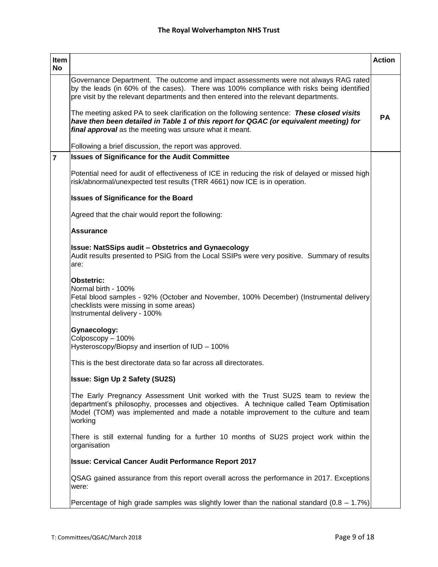| Item<br><b>No</b> |                                                                                                                                                                                                                                                                               | <b>Action</b> |
|-------------------|-------------------------------------------------------------------------------------------------------------------------------------------------------------------------------------------------------------------------------------------------------------------------------|---------------|
|                   | Governance Department. The outcome and impact assessments were not always RAG rated<br>by the leads (in 60% of the cases). There was 100% compliance with risks being identified<br>pre visit by the relevant departments and then entered into the relevant departments.     |               |
|                   | The meeting asked PA to seek clarification on the following sentence: These closed visits<br>have then been detailed in Table 1 of this report for QGAC (or equivalent meeting) for<br>final approval as the meeting was unsure what it meant.                                | PА            |
|                   | Following a brief discussion, the report was approved.                                                                                                                                                                                                                        |               |
| $\overline{7}$    | <b>Issues of Significance for the Audit Committee</b>                                                                                                                                                                                                                         |               |
|                   | Potential need for audit of effectiveness of ICE in reducing the risk of delayed or missed high<br>risk/abnormal/unexpected test results (TRR 4661) now ICE is in operation.                                                                                                  |               |
|                   | <b>Issues of Significance for the Board</b>                                                                                                                                                                                                                                   |               |
|                   | Agreed that the chair would report the following:                                                                                                                                                                                                                             |               |
|                   | <b>Assurance</b>                                                                                                                                                                                                                                                              |               |
|                   | Issue: NatSSips audit – Obstetrics and Gynaecology<br>Audit results presented to PSIG from the Local SSIPs were very positive. Summary of results<br>are:                                                                                                                     |               |
|                   | Obstetric:<br>Normal birth - 100%<br>Fetal blood samples - 92% (October and November, 100% December) (Instrumental delivery<br>checklists were missing in some areas)<br>Instrumental delivery - 100%                                                                         |               |
|                   | Gynaecology:                                                                                                                                                                                                                                                                  |               |
|                   | Colposcopy - 100%<br>Hysteroscopy/Biopsy and insertion of IUD - 100%                                                                                                                                                                                                          |               |
|                   | This is the best directorate data so far across all directorates.                                                                                                                                                                                                             |               |
|                   | <b>Issue: Sign Up 2 Safety (SU2S)</b>                                                                                                                                                                                                                                         |               |
|                   | The Early Pregnancy Assessment Unit worked with the Trust SU2S team to review the<br>department's philosophy, processes and objectives. A technique called Team Optimisation<br>Model (TOM) was implemented and made a notable improvement to the culture and team<br>working |               |
|                   | There is still external funding for a further 10 months of SU2S project work within the<br>organisation                                                                                                                                                                       |               |
|                   | <b>Issue: Cervical Cancer Audit Performance Report 2017</b>                                                                                                                                                                                                                   |               |
|                   | QSAG gained assurance from this report overall across the performance in 2017. Exceptions<br>were:                                                                                                                                                                            |               |
|                   | Percentage of high grade samples was slightly lower than the national standard $(0.8 - 1.7%)$                                                                                                                                                                                 |               |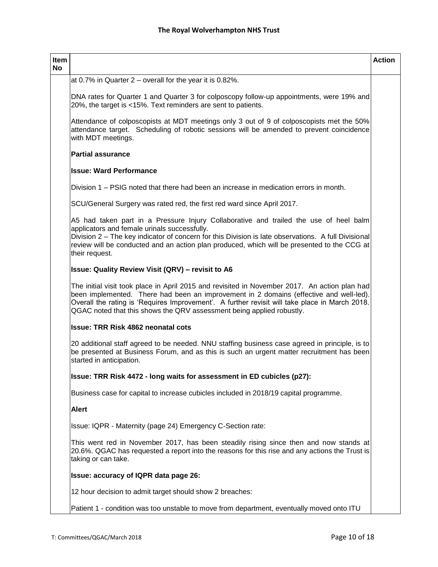| Item<br>No |                                                                                                                                                                                                                                                                                                                                                                    | <b>Action</b> |
|------------|--------------------------------------------------------------------------------------------------------------------------------------------------------------------------------------------------------------------------------------------------------------------------------------------------------------------------------------------------------------------|---------------|
|            | at 0.7% in Quarter $2$ – overall for the year it is 0.82%.                                                                                                                                                                                                                                                                                                         |               |
|            | DNA rates for Quarter 1 and Quarter 3 for colposcopy follow-up appointments, were 19% and<br>20%, the target is <15%. Text reminders are sent to patients.                                                                                                                                                                                                         |               |
|            | Attendance of colposcopists at MDT meetings only 3 out of 9 of colposcopists met the 50%<br>attendance target. Scheduling of robotic sessions will be amended to prevent coincidence<br>with MDT meetings.                                                                                                                                                         |               |
|            | <b>Partial assurance</b>                                                                                                                                                                                                                                                                                                                                           |               |
|            | <b>Issue: Ward Performance</b>                                                                                                                                                                                                                                                                                                                                     |               |
|            | Division 1 – PSIG noted that there had been an increase in medication errors in month.                                                                                                                                                                                                                                                                             |               |
|            | SCU/General Surgery was rated red, the first red ward since April 2017.                                                                                                                                                                                                                                                                                            |               |
|            | A5 had taken part in a Pressure Injury Collaborative and trailed the use of heel balm<br>applicators and female urinals successfully.<br>Division 2 - The key indicator of concern for this Division is late observations. A full Divisional<br>review will be conducted and an action plan produced, which will be presented to the CCG at<br>their request.      |               |
|            | <b>Issue: Quality Review Visit (QRV) - revisit to A6</b>                                                                                                                                                                                                                                                                                                           |               |
|            | The initial visit took place in April 2015 and revisited in November 2017. An action plan had<br>been implemented. There had been an improvement in 2 domains (effective and well-led).<br>Overall the rating is 'Requires Improvement'. A further revisit will take place in March 2018.<br>QGAC noted that this shows the QRV assessment being applied robustly. |               |
|            | <b>Issue: TRR Risk 4862 neonatal cots</b>                                                                                                                                                                                                                                                                                                                          |               |
|            | 20 additional staff agreed to be needed. NNU staffing business case agreed in principle, is to<br>be presented at Business Forum, and as this is such an urgent matter recruitment has been<br>started in anticipation.                                                                                                                                            |               |
|            | Issue: TRR Risk 4472 - long waits for assessment in ED cubicles (p27):                                                                                                                                                                                                                                                                                             |               |
|            | Business case for capital to increase cubicles included in 2018/19 capital programme.                                                                                                                                                                                                                                                                              |               |
|            | <b>Alert</b>                                                                                                                                                                                                                                                                                                                                                       |               |
|            | Issue: IQPR - Maternity (page 24) Emergency C-Section rate:                                                                                                                                                                                                                                                                                                        |               |
|            | This went red in November 2017, has been steadily rising since then and now stands at<br>20.6%. QGAC has requested a report into the reasons for this rise and any actions the Trust is<br>taking or can take.                                                                                                                                                     |               |
|            | Issue: accuracy of IQPR data page 26:                                                                                                                                                                                                                                                                                                                              |               |
|            | 12 hour decision to admit target should show 2 breaches:                                                                                                                                                                                                                                                                                                           |               |
|            | Patient 1 - condition was too unstable to move from department, eventually moved onto ITU                                                                                                                                                                                                                                                                          |               |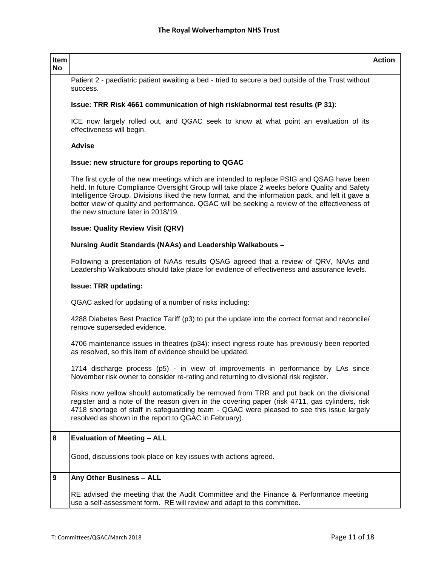| Item<br><b>No</b> |                                                                                                                                                                                                                                                                                                                                                                                                                                       | <b>Action</b> |
|-------------------|---------------------------------------------------------------------------------------------------------------------------------------------------------------------------------------------------------------------------------------------------------------------------------------------------------------------------------------------------------------------------------------------------------------------------------------|---------------|
|                   | Patient 2 - paediatric patient awaiting a bed - tried to secure a bed outside of the Trust without<br>success.                                                                                                                                                                                                                                                                                                                        |               |
|                   | Issue: TRR Risk 4661 communication of high risk/abnormal test results (P 31):                                                                                                                                                                                                                                                                                                                                                         |               |
|                   | ICE now largely rolled out, and QGAC seek to know at what point an evaluation of its<br>effectiveness will begin.                                                                                                                                                                                                                                                                                                                     |               |
|                   | <b>Advise</b>                                                                                                                                                                                                                                                                                                                                                                                                                         |               |
|                   | Issue: new structure for groups reporting to QGAC                                                                                                                                                                                                                                                                                                                                                                                     |               |
|                   | The first cycle of the new meetings which are intended to replace PSIG and QSAG have been<br>held. In future Compliance Oversight Group will take place 2 weeks before Quality and Safety<br>Intelligence Group. Divisions liked the new format, and the information pack, and felt it gave a<br>better view of quality and performance. QGAC will be seeking a review of the effectiveness of<br>the new structure later in 2018/19. |               |
|                   | <b>Issue: Quality Review Visit (QRV)</b>                                                                                                                                                                                                                                                                                                                                                                                              |               |
|                   | Nursing Audit Standards (NAAs) and Leadership Walkabouts -                                                                                                                                                                                                                                                                                                                                                                            |               |
|                   | Following a presentation of NAAs results QSAG agreed that a review of QRV, NAAs and<br>Leadership Walkabouts should take place for evidence of effectiveness and assurance levels.                                                                                                                                                                                                                                                    |               |
|                   | <b>Issue: TRR updating:</b>                                                                                                                                                                                                                                                                                                                                                                                                           |               |
|                   | QGAC asked for updating of a number of risks including:                                                                                                                                                                                                                                                                                                                                                                               |               |
|                   | 4288 Diabetes Best Practice Tariff (p3) to put the update into the correct format and reconcile/<br>remove superseded evidence.                                                                                                                                                                                                                                                                                                       |               |
|                   | 4706 maintenance issues in theatres (p34): insect ingress route has previously been reported<br>as resolved, so this item of evidence should be updated.                                                                                                                                                                                                                                                                              |               |
|                   | 1714 discharge process (p5) - in view of improvements in performance by LAs since<br>November risk owner to consider re-rating and returning to divisional risk register.                                                                                                                                                                                                                                                             |               |
|                   | Risks now yellow should automatically be removed from TRR and put back on the divisional<br>register and a note of the reason given in the covering paper (risk 4711, gas cylinders, risk<br>4718 shortage of staff in safeguarding team - QGAC were pleased to see this issue largely<br>resolved as shown in the report to QGAC in February).                                                                                       |               |
| 8                 | <b>Evaluation of Meeting - ALL</b>                                                                                                                                                                                                                                                                                                                                                                                                    |               |
|                   | Good, discussions took place on key issues with actions agreed.                                                                                                                                                                                                                                                                                                                                                                       |               |
| 9                 | Any Other Business - ALL                                                                                                                                                                                                                                                                                                                                                                                                              |               |
|                   | RE advised the meeting that the Audit Committee and the Finance & Performance meeting<br>use a self-assessment form. RE will review and adapt to this committee.                                                                                                                                                                                                                                                                      |               |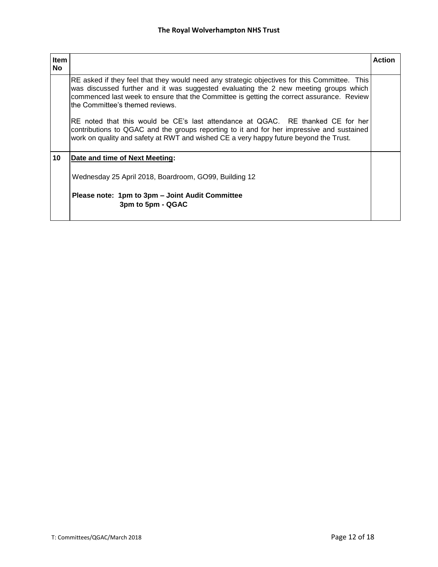| ltem |                                                                                                                                                                                                                                                                                                                       | <b>Action</b> |
|------|-----------------------------------------------------------------------------------------------------------------------------------------------------------------------------------------------------------------------------------------------------------------------------------------------------------------------|---------------|
| No   |                                                                                                                                                                                                                                                                                                                       |               |
|      | RE asked if they feel that they would need any strategic objectives for this Committee. This<br>was discussed further and it was suggested evaluating the 2 new meeting groups which<br>commenced last week to ensure that the Committee is getting the correct assurance. Review<br>Ithe Committee's themed reviews. |               |
|      | RE noted that this would be CE's last attendance at QGAC. RE thanked CE for her<br>contributions to QGAC and the groups reporting to it and for her impressive and sustained<br>work on quality and safety at RWT and wished CE a very happy future beyond the Trust.                                                 |               |
| 10   | Date and time of Next Meeting:                                                                                                                                                                                                                                                                                        |               |
|      | Wednesday 25 April 2018, Boardroom, GO99, Building 12                                                                                                                                                                                                                                                                 |               |
|      | Please note: 1pm to 3pm - Joint Audit Committee<br>3pm to 5pm - QGAC                                                                                                                                                                                                                                                  |               |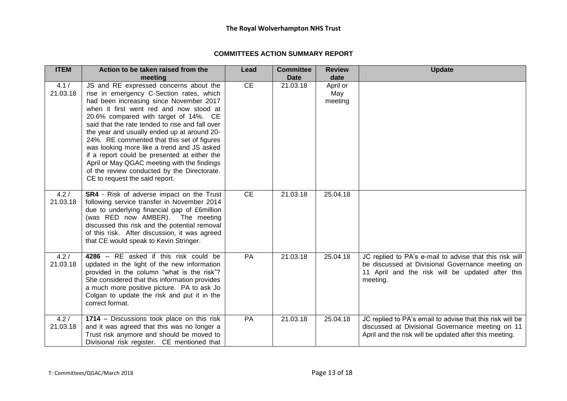#### **COMMITTEES ACTION SUMMARY REPORT**

| <b>ITEM</b>      | Action to be taken raised from the                                                                                                                                                                                                                                                                                                                                                                                                                                                                                                                                                              | Lead      | <b>Committee</b> | <b>Review</b>              | <b>Update</b>                                                                                                                                                               |
|------------------|-------------------------------------------------------------------------------------------------------------------------------------------------------------------------------------------------------------------------------------------------------------------------------------------------------------------------------------------------------------------------------------------------------------------------------------------------------------------------------------------------------------------------------------------------------------------------------------------------|-----------|------------------|----------------------------|-----------------------------------------------------------------------------------------------------------------------------------------------------------------------------|
|                  | meeting                                                                                                                                                                                                                                                                                                                                                                                                                                                                                                                                                                                         |           | <b>Date</b>      | date                       |                                                                                                                                                                             |
| 4.1/<br>21.03.18 | JS and RE expressed concerns about the<br>rise in emergency C-Section rates, which<br>had been increasing since November 2017<br>when it first went red and now stood at<br>20.6% compared with target of 14%. CE<br>said that the rate tended to rise and fall over<br>the year and usually ended up at around 20-<br>24%. RE commented that this set of figures<br>was looking more like a trend and JS asked<br>if a report could be presented at either the<br>April or May QGAC meeting with the findings<br>of the review conducted by the Directorate.<br>CE to request the said report. | CE        | 21.03.18         | April or<br>May<br>meeting |                                                                                                                                                                             |
| 4.2/<br>21.03.18 | SR4 - Risk of adverse impact on the Trust<br>following service transfer in November 2014<br>due to underlying financial gap of £6million<br>(was RED now AMBER). The meeting<br>discussed this risk and the potential removal<br>of this risk. After discussion, it was agreed<br>that CE would speak to Kevin Stringer.                                                                                                                                                                                                                                                                        | <b>CE</b> | 21.03.18         | 25.04.18                   |                                                                                                                                                                             |
| 4.2/<br>21.03.18 | 4286 - RE asked if this risk could be<br>updated in the light of the new information<br>provided in the column "what is the risk"?<br>She considered that this information provides<br>a much more positive picture. PA to ask Jo<br>Colgan to update the risk and put it in the<br>correct format.                                                                                                                                                                                                                                                                                             | <b>PA</b> | 21.03.18         | 25.04.18                   | JC replied to PA's e-mail to advise that this risk will<br>be discussed at Divisional Governance meeting on<br>11 April and the risk will be updated after this<br>meeting. |
| 4.2/<br>21.03.18 | 1714 - Discussions took place on this risk<br>and it was agreed that this was no longer a<br>Trust risk anymore and should be moved to<br>Divisional risk register. CE mentioned that                                                                                                                                                                                                                                                                                                                                                                                                           | PA        | 21.03.18         | 25.04.18                   | JC replied to PA's email to advise that this risk will be<br>discussed at Divisional Governance meeting on 11<br>April and the risk will be updated after this meeting.     |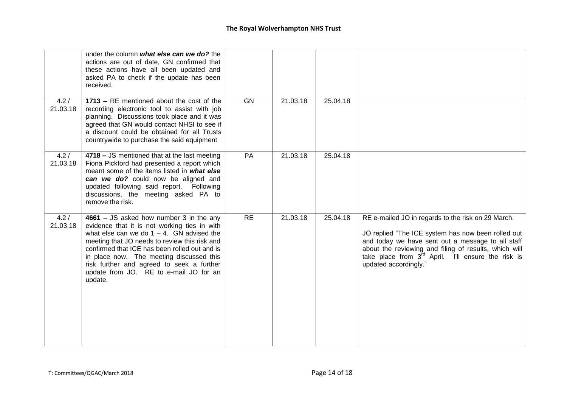|                  | under the column what else can we do? the<br>actions are out of date, GN confirmed that<br>these actions have all been updated and<br>asked PA to check if the update has been<br>received.                                                                                                                                                                                             |           |          |          |                                                                                                                                                                                                                                                                                                            |
|------------------|-----------------------------------------------------------------------------------------------------------------------------------------------------------------------------------------------------------------------------------------------------------------------------------------------------------------------------------------------------------------------------------------|-----------|----------|----------|------------------------------------------------------------------------------------------------------------------------------------------------------------------------------------------------------------------------------------------------------------------------------------------------------------|
| 4.2/<br>21.03.18 | 1713 - RE mentioned about the cost of the<br>recording electronic tool to assist with job<br>planning. Discussions took place and it was<br>agreed that GN would contact NHSI to see if<br>a discount could be obtained for all Trusts<br>countrywide to purchase the said equipment                                                                                                    | <b>GN</b> | 21.03.18 | 25.04.18 |                                                                                                                                                                                                                                                                                                            |
| 4.2/<br>21.03.18 | 4718 - JS mentioned that at the last meeting<br>Fiona Pickford had presented a report which<br>meant some of the items listed in what else<br>can we do? could now be aligned and<br>updated following said report. Following<br>discussions, the meeting asked PA to<br>remove the risk.                                                                                               | PA        | 21.03.18 | 25.04.18 |                                                                                                                                                                                                                                                                                                            |
| 4.2/<br>21.03.18 | 4661 - JS asked how number 3 in the any<br>evidence that it is not working ties in with<br>what else can we do $1 - 4$ . GN advised the<br>meeting that JO needs to review this risk and<br>confirmed that ICE has been rolled out and is<br>in place now. The meeting discussed this<br>risk further and agreed to seek a further<br>update from JO. RE to e-mail JO for an<br>update. | RE        | 21.03.18 | 25.04.18 | RE e-mailed JO in regards to the risk on 29 March.<br>JO replied "The ICE system has now been rolled out<br>and today we have sent out a message to all staff<br>about the reviewing and filing of results, which will<br>take place from $3^{rd}$ April. I'll ensure the risk is<br>updated accordingly." |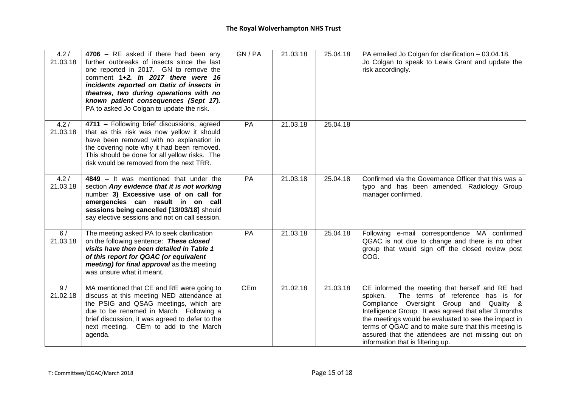| 4.2/<br>21.03.18 | 4706 - RE asked if there had been any<br>further outbreaks of insects since the last<br>one reported in 2017. GN to remove the<br>comment 1+2. In 2017 there were 16<br>incidents reported on Datix of insects in<br>theatres, two during operations with no<br>known patient consequences (Sept 17).<br>PA to asked Jo Colgan to update the risk. | GN/PA | 21.03.18 | 25.04.18 | PA emailed Jo Colgan for clarification - 03.04.18.<br>Jo Colgan to speak to Lewis Grant and update the<br>risk accordingly.                                                                                                                                                                                                                                                                                   |
|------------------|----------------------------------------------------------------------------------------------------------------------------------------------------------------------------------------------------------------------------------------------------------------------------------------------------------------------------------------------------|-------|----------|----------|---------------------------------------------------------------------------------------------------------------------------------------------------------------------------------------------------------------------------------------------------------------------------------------------------------------------------------------------------------------------------------------------------------------|
| 4.2/<br>21.03.18 | 4711 - Following brief discussions, agreed<br>that as this risk was now yellow it should<br>have been removed with no explanation in<br>the covering note why it had been removed.<br>This should be done for all yellow risks. The<br>risk would be removed from the next TRR.                                                                    | PA    | 21.03.18 | 25.04.18 |                                                                                                                                                                                                                                                                                                                                                                                                               |
| 4.2/<br>21.03.18 | 4849 - It was mentioned that under the<br>section Any evidence that it is not working<br>number 3) Excessive use of on call for<br>emergencies can result in on call<br>sessions being cancelled [13/03/18] should<br>say elective sessions and not on call session.                                                                               | PA    | 21.03.18 | 25.04.18 | Confirmed via the Governance Officer that this was a<br>typo and has been amended. Radiology Group<br>manager confirmed.                                                                                                                                                                                                                                                                                      |
| 6/<br>21.03.18   | The meeting asked PA to seek clarification<br>on the following sentence: These closed<br>visits have then been detailed in Table 1<br>of this report for QGAC (or equivalent<br>meeting) for final approval as the meeting<br>was unsure what it meant.                                                                                            | PA    | 21.03.18 | 25.04.18 | Following e-mail correspondence MA confirmed<br>QGAC is not due to change and there is no other<br>group that would sign off the closed review post<br>COG.                                                                                                                                                                                                                                                   |
| 9/<br>21.02.18   | MA mentioned that CE and RE were going to<br>discuss at this meeting NED attendance at<br>the PSIG and QSAG meetings, which are<br>due to be renamed in March. Following a<br>brief discussion, it was agreed to defer to the<br>next meeting. CEm to add to the March<br>agenda.                                                                  | CEm   | 21.02.18 | 21.03.18 | CE informed the meeting that herself and RE had<br>The terms of reference has is for<br>spoken.<br>Compliance Oversight Group and Quality &<br>Intelligence Group. It was agreed that after 3 months<br>the meetings would be evaluated to see the impact in<br>terms of QGAC and to make sure that this meeting is<br>assured that the attendees are not missing out on<br>information that is filtering up. |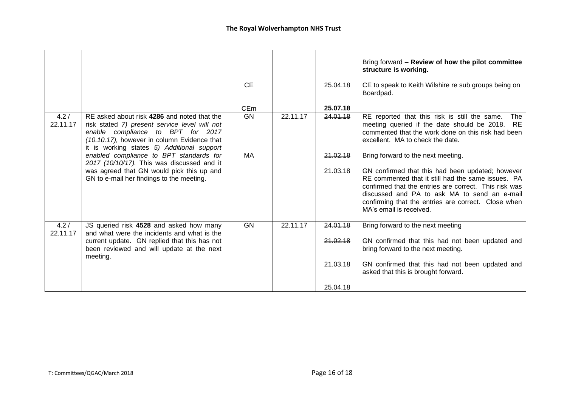|                  |                                                                                                                                                                                                                                | <b>CE</b>  |          | 25.04.18 | Bring forward - Review of how the pilot committee<br>structure is working.<br>CE to speak to Keith Wilshire re sub groups being on                                                                                                                                                                |
|------------------|--------------------------------------------------------------------------------------------------------------------------------------------------------------------------------------------------------------------------------|------------|----------|----------|---------------------------------------------------------------------------------------------------------------------------------------------------------------------------------------------------------------------------------------------------------------------------------------------------|
|                  |                                                                                                                                                                                                                                |            |          |          | Boardpad.                                                                                                                                                                                                                                                                                         |
|                  |                                                                                                                                                                                                                                | <b>CEm</b> |          | 25.07.18 |                                                                                                                                                                                                                                                                                                   |
| 4.2/<br>22.11.17 | RE asked about risk 4286 and noted that the<br>risk stated 7) present service level will not<br>enable compliance to BPT for 2017<br>(10.10.17), however in column Evidence that<br>it is working states 5) Additional support | GN         | 22.11.17 | 24.01.18 | RE reported that this risk is still the same.<br>The<br>meeting queried if the date should be 2018. RE<br>commented that the work done on this risk had been<br>excellent. MA to check the date.                                                                                                  |
|                  | enabled compliance to BPT standards for<br>2017 (10/10/17). This was discussed and it                                                                                                                                          | MA         |          | 21.02.18 | Bring forward to the next meeting.                                                                                                                                                                                                                                                                |
|                  | was agreed that GN would pick this up and<br>GN to e-mail her findings to the meeting.                                                                                                                                         |            |          | 21.03.18 | GN confirmed that this had been updated; however<br>RE commented that it still had the same issues. PA<br>confirmed that the entries are correct. This risk was<br>discussed and PA to ask MA to send an e-mail<br>confirming that the entries are correct. Close when<br>MA's email is received. |
| 4.2/<br>22.11.17 | JS queried risk 4528 and asked how many<br>and what were the incidents and what is the                                                                                                                                         | <b>GN</b>  | 22.11.17 | 24.01.18 | Bring forward to the next meeting                                                                                                                                                                                                                                                                 |
|                  | current update. GN replied that this has not<br>been reviewed and will update at the next<br>meeting.                                                                                                                          |            |          | 21.02.18 | GN confirmed that this had not been updated and<br>bring forward to the next meeting.                                                                                                                                                                                                             |
|                  |                                                                                                                                                                                                                                |            |          | 21.03.18 | GN confirmed that this had not been updated and<br>asked that this is brought forward.                                                                                                                                                                                                            |
|                  |                                                                                                                                                                                                                                |            |          | 25.04.18 |                                                                                                                                                                                                                                                                                                   |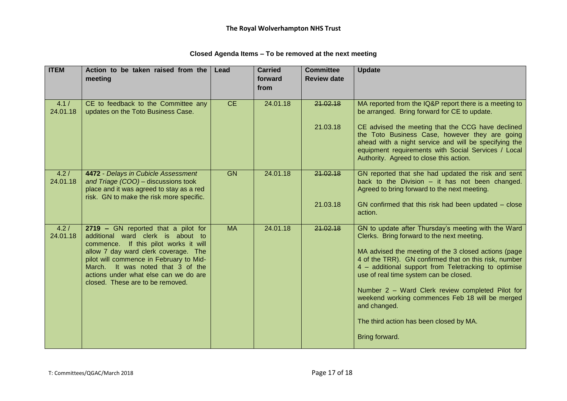| <b>ITEM</b>       | Action to be taken raised from the<br>meeting                                                                                                                                                                                                                                                                          | Lead      | <b>Carried</b><br>forward | <b>Committee</b><br><b>Review date</b> | <b>Update</b>                                                                                                                                                                                                                                                                                                                                                                                                                                                                          |
|-------------------|------------------------------------------------------------------------------------------------------------------------------------------------------------------------------------------------------------------------------------------------------------------------------------------------------------------------|-----------|---------------------------|----------------------------------------|----------------------------------------------------------------------------------------------------------------------------------------------------------------------------------------------------------------------------------------------------------------------------------------------------------------------------------------------------------------------------------------------------------------------------------------------------------------------------------------|
|                   |                                                                                                                                                                                                                                                                                                                        |           | from                      |                                        |                                                                                                                                                                                                                                                                                                                                                                                                                                                                                        |
| 4.1 /<br>24.01.18 | CE to feedback to the Committee any<br>updates on the Toto Business Case.                                                                                                                                                                                                                                              | CE        | 24.01.18                  | 21.02.18                               | MA reported from the IQ&P report there is a meeting to<br>be arranged. Bring forward for CE to update.                                                                                                                                                                                                                                                                                                                                                                                 |
|                   |                                                                                                                                                                                                                                                                                                                        |           |                           | 21.03.18                               | CE advised the meeting that the CCG have declined<br>the Toto Business Case, however they are going<br>ahead with a night service and will be specifying the<br>equipment requirements with Social Services / Local<br>Authority. Agreed to close this action.                                                                                                                                                                                                                         |
| 4.2/<br>24.01.18  | 4472 - Delays in Cubicle Assessment<br>and Triage (COO) - discussions took<br>place and it was agreed to stay as a red<br>risk. GN to make the risk more specific.                                                                                                                                                     | <b>GN</b> | 24.01.18                  | 21.02.18                               | GN reported that she had updated the risk and sent<br>back to the Division $-$ it has not been changed.<br>Agreed to bring forward to the next meeting.                                                                                                                                                                                                                                                                                                                                |
|                   |                                                                                                                                                                                                                                                                                                                        |           |                           | 21.03.18                               | GN confirmed that this risk had been updated - close<br>action.                                                                                                                                                                                                                                                                                                                                                                                                                        |
| 4.2/<br>24.01.18  | 2719 - GN reported that a pilot for<br>additional ward clerk is about to<br>commence. If this pilot works it will<br>allow 7 day ward clerk coverage. The<br>pilot will commence in February to Mid-<br>March. It was noted that 3 of the<br>actions under what else can we do are<br>closed. These are to be removed. | <b>MA</b> | 24.01.18                  | 21.02.18                               | GN to update after Thursday's meeting with the Ward<br>Clerks. Bring forward to the next meeting.<br>MA advised the meeting of the 3 closed actions (page<br>4 of the TRR). GN confirmed that on this risk, number<br>4 - additional support from Teletracking to optimise<br>use of real time system can be closed.<br>Number 2 - Ward Clerk review completed Pilot for<br>weekend working commences Feb 18 will be merged<br>and changed.<br>The third action has been closed by MA. |
|                   |                                                                                                                                                                                                                                                                                                                        |           |                           |                                        | Bring forward.                                                                                                                                                                                                                                                                                                                                                                                                                                                                         |

#### **Closed Agenda Items – To be removed at the next meeting**